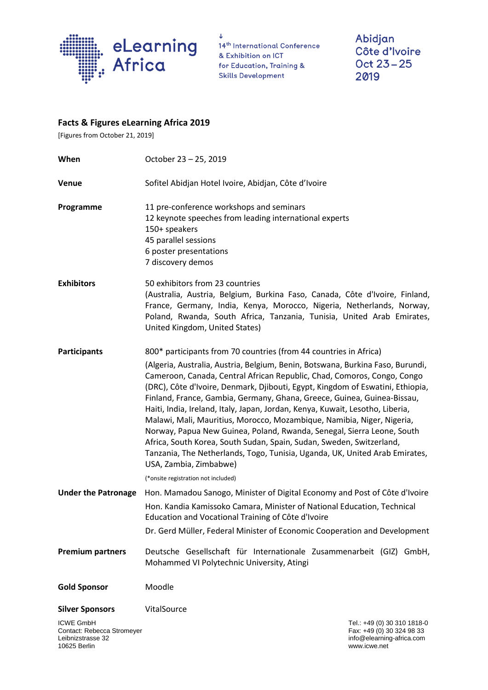

 $\downarrow$ 14<sup>th</sup> International Conference & Exhibition on ICT for Education, Training & **Skills Development** 

Abidjan Côte d'Ivoire Oct 23-25 2019

## **Facts & Figures eLearning Africa 2019**

[Figures from October 21, 2019]

| When                                       | October 23 - 25, 2019                                                                                                                                                                                                                                                                                                                                                                                                                                                                                                                                                                                                                                                                                                                                                                                                                                    |  |  |  |
|--------------------------------------------|----------------------------------------------------------------------------------------------------------------------------------------------------------------------------------------------------------------------------------------------------------------------------------------------------------------------------------------------------------------------------------------------------------------------------------------------------------------------------------------------------------------------------------------------------------------------------------------------------------------------------------------------------------------------------------------------------------------------------------------------------------------------------------------------------------------------------------------------------------|--|--|--|
| Venue                                      | Sofitel Abidjan Hotel Ivoire, Abidjan, Côte d'Ivoire                                                                                                                                                                                                                                                                                                                                                                                                                                                                                                                                                                                                                                                                                                                                                                                                     |  |  |  |
| Programme                                  | 11 pre-conference workshops and seminars<br>12 keynote speeches from leading international experts<br>150+ speakers<br>45 parallel sessions<br>6 poster presentations<br>7 discovery demos                                                                                                                                                                                                                                                                                                                                                                                                                                                                                                                                                                                                                                                               |  |  |  |
| <b>Exhibitors</b>                          | 50 exhibitors from 23 countries<br>(Australia, Austria, Belgium, Burkina Faso, Canada, Côte d'Ivoire, Finland,<br>France, Germany, India, Kenya, Morocco, Nigeria, Netherlands, Norway,<br>Poland, Rwanda, South Africa, Tanzania, Tunisia, United Arab Emirates,<br>United Kingdom, United States)                                                                                                                                                                                                                                                                                                                                                                                                                                                                                                                                                      |  |  |  |
| <b>Participants</b>                        | 800* participants from 70 countries (from 44 countries in Africa)<br>(Algeria, Australia, Austria, Belgium, Benin, Botswana, Burkina Faso, Burundi,<br>Cameroon, Canada, Central African Republic, Chad, Comoros, Congo, Congo<br>(DRC), Côte d'Ivoire, Denmark, Djibouti, Egypt, Kingdom of Eswatini, Ethiopia,<br>Finland, France, Gambia, Germany, Ghana, Greece, Guinea, Guinea-Bissau,<br>Haiti, India, Ireland, Italy, Japan, Jordan, Kenya, Kuwait, Lesotho, Liberia,<br>Malawi, Mali, Mauritius, Morocco, Mozambique, Namibia, Niger, Nigeria,<br>Norway, Papua New Guinea, Poland, Rwanda, Senegal, Sierra Leone, South<br>Africa, South Korea, South Sudan, Spain, Sudan, Sweden, Switzerland,<br>Tanzania, The Netherlands, Togo, Tunisia, Uganda, UK, United Arab Emirates,<br>USA, Zambia, Zimbabwe)<br>(*onsite registration not included) |  |  |  |
|                                            | Under the Patronage Hon. Mamadou Sanogo, Minister of Digital Economy and Post of Côte d'Ivoire<br>Hon. Kandia Kamissoko Camara, Minister of National Education, Technical<br>Education and Vocational Training of Côte d'Ivoire<br>Dr. Gerd Müller, Federal Minister of Economic Cooperation and Development                                                                                                                                                                                                                                                                                                                                                                                                                                                                                                                                             |  |  |  |
| <b>Premium partners</b>                    | Deutsche Gesellschaft für Internationale Zusammenarbeit (GIZ) GmbH,<br>Mohammed VI Polytechnic University, Atingi                                                                                                                                                                                                                                                                                                                                                                                                                                                                                                                                                                                                                                                                                                                                        |  |  |  |
| <b>Gold Sponsor</b>                        | Moodle                                                                                                                                                                                                                                                                                                                                                                                                                                                                                                                                                                                                                                                                                                                                                                                                                                                   |  |  |  |
| <b>Silver Sponsors</b><br><b>ICWE GmbH</b> | VitalSource<br>Tel.: +49 (0) 30 310 1818-0                                                                                                                                                                                                                                                                                                                                                                                                                                                                                                                                                                                                                                                                                                                                                                                                               |  |  |  |

Contact: Rebecca Stromeyer Fax: +49 (0) 30 324 98 33<br>Leibnizstrasse 32 info@elearning-africa.com Leibnizstrasse 32 info@elearning-africa.com

www.icwe.net